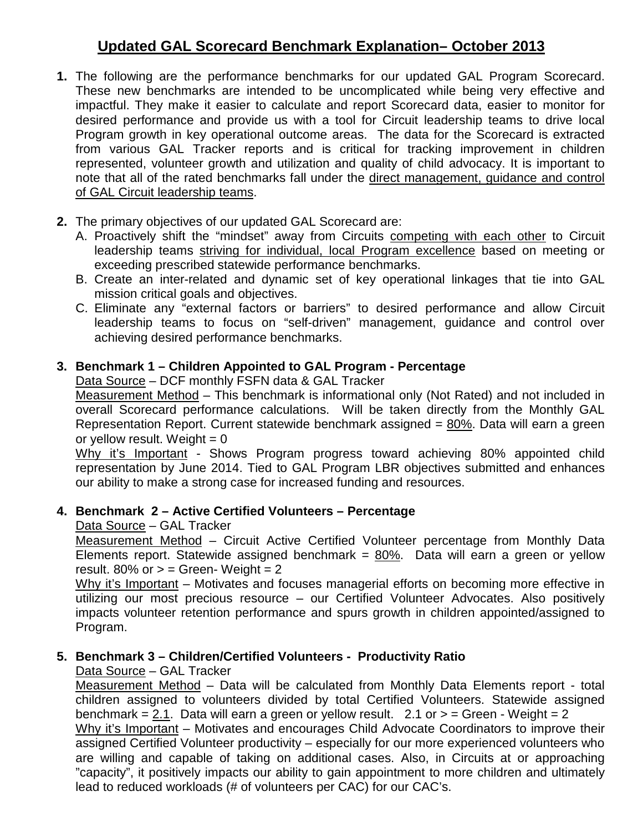# **Updated GAL Scorecard Benchmark Explanation– October 2013**

- **1.** The following are the performance benchmarks for our updated GAL Program Scorecard. These new benchmarks are intended to be uncomplicated while being very effective and impactful. They make it easier to calculate and report Scorecard data, easier to monitor for desired performance and provide us with a tool for Circuit leadership teams to drive local Program growth in key operational outcome areas. The data for the Scorecard is extracted from various GAL Tracker reports and is critical for tracking improvement in children represented, volunteer growth and utilization and quality of child advocacy. It is important to note that all of the rated benchmarks fall under the direct management, guidance and control of GAL Circuit leadership teams.
- **2.** The primary objectives of our updated GAL Scorecard are:
	- A. Proactively shift the "mindset" away from Circuits competing with each other to Circuit leadership teams striving for individual, local Program excellence based on meeting or exceeding prescribed statewide performance benchmarks.
	- B. Create an inter-related and dynamic set of key operational linkages that tie into GAL mission critical goals and objectives.
	- C. Eliminate any "external factors or barriers" to desired performance and allow Circuit leadership teams to focus on "self-driven" management, guidance and control over achieving desired performance benchmarks.

### **3. Benchmark 1 – Children Appointed to GAL Program - Percentage**

Data Source – DCF monthly FSFN data & GAL Tracker

Measurement Method – This benchmark is informational only (Not Rated) and not included in overall Scorecard performance calculations. Will be taken directly from the Monthly GAL Representation Report. Current statewide benchmark assigned = 80%. Data will earn a green or yellow result. Weight  $= 0$ 

Why it's Important - Shows Program progress toward achieving 80% appointed child representation by June 2014. Tied to GAL Program LBR objectives submitted and enhances our ability to make a strong case for increased funding and resources.

#### **4. Benchmark 2 – Active Certified Volunteers – Percentage**

Data Source – GAL Tracker

Measurement Method – Circuit Active Certified Volunteer percentage from Monthly Data Elements report. Statewide assigned benchmark =  $80\%$ . Data will earn a green or yellow result.  $80\%$  or  $>$  = Green-Weight = 2

Why it's Important – Motivates and focuses managerial efforts on becoming more effective in utilizing our most precious resource – our Certified Volunteer Advocates. Also positively impacts volunteer retention performance and spurs growth in children appointed/assigned to Program.

### **5. Benchmark 3 – Children/Certified Volunteers - Productivity Ratio**

Data Source – GAL Tracker

Measurement Method – Data will be calculated from Monthly Data Elements report - total children assigned to volunteers divided by total Certified Volunteers. Statewide assigned benchmark = 2.1. Data will earn a green or yellow result.  $2.1$  or  $>$  = Green - Weight = 2

Why it's Important – Motivates and encourages Child Advocate Coordinators to improve their assigned Certified Volunteer productivity – especially for our more experienced volunteers who are willing and capable of taking on additional cases. Also, in Circuits at or approaching "capacity", it positively impacts our ability to gain appointment to more children and ultimately lead to reduced workloads (# of volunteers per CAC) for our CAC's.